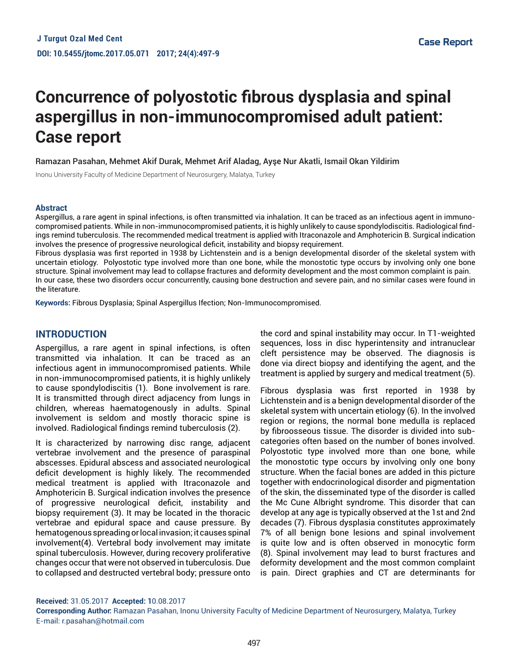# **Concurrence of polyostotic fibrous dysplasia and spinal aspergillus in non-immunocompromised adult patient: Case report**

Ramazan Pasahan, Mehmet Akif Durak, Mehmet Arif Aladag, Ayşe Nur Akatli, Ismail Okan Yildirim

Inonu University Faculty of Medicine Department of Neurosurgery, Malatya, Turkey

#### **Abstract**

Aspergillus, a rare agent in spinal infections, is often transmitted via inhalation. It can be traced as an infectious agent in immunocompromised patients. While in non-immunocompromised patients, it is highly unlikely to cause spondylodiscitis. Radiological findings remind tuberculosis. The recommended medical treatment is applied with Itraconazole and Amphotericin B. Surgical indication involves the presence of progressive neurological deficit, instability and biopsy requirement.

Fibrous dysplasia was first reported in 1938 by Lichtenstein and is a benign developmental disorder of the skeletal system with uncertain etiology. Polyostotic type involved more than one bone, while the monostotic type occurs by involving only one bone structure. Spinal involvement may lead to collapse fractures and deformity development and the most common complaint is pain. In our case, these two disorders occur concurrently, causing bone destruction and severe pain, and no similar cases were found in the literature.

**Keywords:** Fibrous Dysplasia; Spinal Aspergillus Ifection; Non-Immunocompromised.

# **INTRODUCTION**

Aspergillus, a rare agent in spinal infections, is often transmitted via inhalation. It can be traced as an infectious agent in immunocompromised patients. While in non-immunocompromised patients, it is highly unlikely to cause spondylodiscitis (1). Bone involvement is rare. It is transmitted through direct adjacency from lungs in children, whereas haematogenously in adults. Spinal involvement is seldom and mostly thoracic spine is involved. Radiological findings remind tuberculosis (2).

It is characterized by narrowing disc range, adjacent vertebrae involvement and the presence of paraspinal abscesses. Epidural abscess and associated neurological deficit development is highly likely. The recommended medical treatment is applied with Itraconazole and Amphotericin B. Surgical indication involves the presence of progressive neurological deficit, instability and biopsy requirement (3). It may be located in the thoracic vertebrae and epidural space and cause pressure. By hematogenous spreading or local invasion; it causes spinal involvement(4). Vertebral body involvement may imitate spinal tuberculosis. However, during recovery proliferative changes occur that were not observed in tuberculosis. Due to collapsed and destructed vertebral body; pressure onto

the cord and spinal instability may occur. In T1-weighted sequences, loss in disc hyperintensity and intranuclear cleft persistence may be observed. The diagnosis is done via direct biopsy and identifying the agent, and the treatment is applied by surgery and medical treatment (5).

Fibrous dysplasia was first reported in 1938 by Lichtenstein and is a benign developmental disorder of the skeletal system with uncertain etiology (6). In the involved region or regions, the normal bone medulla is replaced by fibroosseous tissue. The disorder is divided into subcategories often based on the number of bones involved. Polyostotic type involved more than one bone, while the monostotic type occurs by involving only one bony structure. When the facial bones are added in this picture together with endocrinological disorder and pigmentation of the skin, the disseminated type of the disorder is called the Mc Cune Albright syndrome. This disorder that can develop at any age is typically observed at the 1st and 2nd decades (7). Fibrous dysplasia constitutes approximately 7% of all benign bone lesions and spinal involvement is quite low and is often observed in monocytic form (8). Spinal involvement may lead to burst fractures and deformity development and the most common complaint is pain. Direct graphies and CT are determinants for

**Received:** 31.05.2017 **Accepted: 1**0.08.2017

**Corresponding Author:** Ramazan Pasahan, Inonu University Faculty of Medicine Department of Neurosurgery, Malatya, Turkey E-mail: r.pasahan@hotmail.com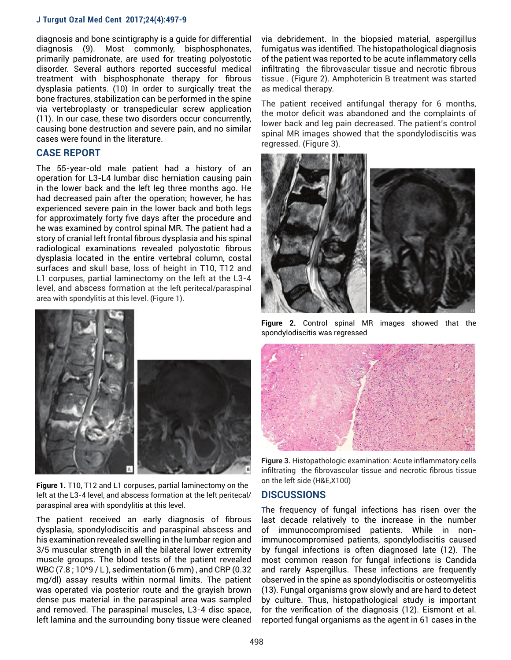#### **J Turgut Ozal Med Cent 2017;24(4):497-9**

diagnosis and bone scintigraphy is a guide for differential diagnosis (9). Most commonly, bisphosphonates, primarily pamidronate, are used for treating polyostotic disorder. Several authors reported successful medical treatment with bisphosphonate therapy for fibrous dysplasia patients. (10) In order to surgically treat the bone fractures, stabilization can be performed in the spine via vertebroplasty or transpedicular screw application (11). In our case, these two disorders occur concurrently, causing bone destruction and severe pain, and no similar cases were found in the literature.

# **CASE REPORT**

The 55-year-old male patient had a history of an operation for L3-L4 lumbar disc herniation causing pain in the lower back and the left leg three months ago. He had decreased pain after the operation; however, he has experienced severe pain in the lower back and both legs for approximately forty five days after the procedure and he was examined by control spinal MR. The patient had a story of cranial left frontal fibrous dysplasia and his spinal radiological examinations revealed polyostotic fibrous dysplasia located in the entire vertebral column, costal surfaces and skull base, loss of height in T10, T12 and L1 corpuses, partial laminectomy on the left at the L3-4 level, and abscess formation at the left peritecal/paraspinal area with spondylitis at this level. (Figure 1).



**Figure 1.** T10, T12 and L1 corpuses, partial laminectomy on the left at the L3-4 level, and abscess formation at the left peritecal/ paraspinal area with spondylitis at this level.

The patient received an early diagnosis of fibrous dysplasia, spondylodiscitis and paraspinal abscess and his examination revealed swelling in the lumbar region and 3/5 muscular strength in all the bilateral lower extremity muscle groups. The blood tests of the patient revealed WBC (7.8 ; 10^9 / L ), sedimentation (6 mm) , and CRP (0.32 mg/dl) assay results within normal limits. The patient was operated via posterior route and the grayish brown dense pus material in the paraspinal area was sampled and removed. The paraspinal muscles, L3-4 disc space, left lamina and the surrounding bony tissue were cleaned via debridement. In the biopsied material, aspergillus fumigatus was identified. The histopathological diagnosis of the patient was reported to be acute inflammatory cells infiltrating the fibrovascular tissue and necrotic fibrous tissue . (Figure 2). Amphotericin B treatment was started as medical therapy.

The patient received antifungal therapy for 6 months, the motor deficit was abandoned and the complaints of lower back and leg pain decreased. The patient's control spinal MR images showed that the spondylodiscitis was regressed. (Figure 3).



**Figure 2.** Control spinal MR images showed that the spondylodiscitis was regressed



**Figure 3.** Histopathologic examination: Acute inflammatory cells infiltrating the fibrovascular tissue and necrotic fibrous tissue on the left side (H&E,X100)

## **DISCUSSIONS**

The frequency of fungal infections has risen over the last decade relatively to the increase in the number of immunocompromised patients. While in nonimmunocompromised patients, spondylodiscitis caused by fungal infections is often diagnosed late (12). The most common reason for fungal infections is Candida and rarely Aspergillus. These infections are frequently observed in the spine as spondylodiscitis or osteomyelitis (13). Fungal organisms grow slowly and are hard to detect by culture. Thus, histopathological study is important for the verification of the diagnosis (12). Eismont et al. reported fungal organisms as the agent in 61 cases in the